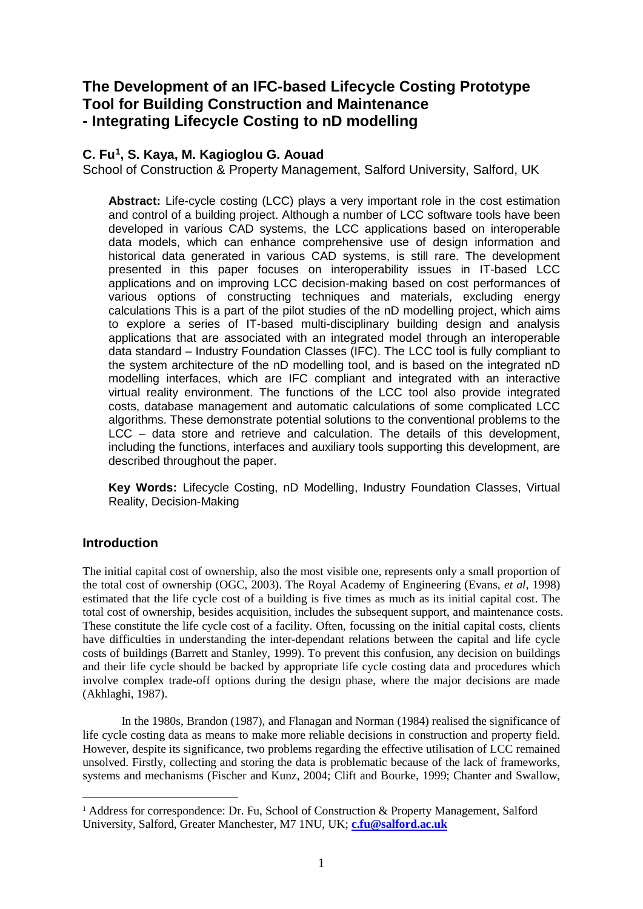# **The Development of an IFC-based Lifecycle Costing Prototype Tool for Building Construction and Maintenance - Integrating Lifecycle Costing to nD modelling**

### **C. Fu[1,](#page-0-0) S. Kaya, M. Kagioglou G. Aouad**

School of Construction & Property Management, Salford University, Salford, UK

**Abstract:** Life-cycle costing (LCC) plays a very important role in the cost estimation and control of a building project. Although a number of LCC software tools have been developed in various CAD systems, the LCC applications based on interoperable data models, which can enhance comprehensive use of design information and historical data generated in various CAD systems, is still rare. The development presented in this paper focuses on interoperability issues in IT-based LCC applications and on improving LCC decision-making based on cost performances of various options of constructing techniques and materials, excluding energy calculations This is a part of the pilot studies of the nD modelling project, which aims to explore a series of IT-based multi-disciplinary building design and analysis applications that are associated with an integrated model through an interoperable data standard – Industry Foundation Classes (IFC). The LCC tool is fully compliant to the system architecture of the nD modelling tool, and is based on the integrated nD modelling interfaces, which are IFC compliant and integrated with an interactive virtual reality environment. The functions of the LCC tool also provide integrated costs, database management and automatic calculations of some complicated LCC algorithms. These demonstrate potential solutions to the conventional problems to the LCC – data store and retrieve and calculation. The details of this development, including the functions, interfaces and auxiliary tools supporting this development, are described throughout the paper.

**Key Words:** Lifecycle Costing, nD Modelling, Industry Foundation Classes, Virtual Reality, Decision-Making

#### **Introduction**

<u>.</u>

The initial capital cost of ownership, also the most visible one, represents only a small proportion of the total cost of ownership (OGC, 2003). The Royal Academy of Engineering (Evans, *et al*, 1998) estimated that the life cycle cost of a building is five times as much as its initial capital cost. The total cost of ownership, besides acquisition, includes the subsequent support, and maintenance costs. These constitute the life cycle cost of a facility. Often, focussing on the initial capital costs, clients have difficulties in understanding the inter-dependant relations between the capital and life cycle costs of buildings (Barrett and Stanley, 1999). To prevent this confusion, any decision on buildings and their life cycle should be backed by appropriate life cycle costing data and procedures which involve complex trade-off options during the design phase, where the major decisions are made (Akhlaghi, 1987).

In the 1980s, Brandon (1987), and Flanagan and Norman (1984) realised the significance of life cycle costing data as means to make more reliable decisions in construction and property field. However, despite its significance, two problems regarding the effective utilisation of LCC remained unsolved. Firstly, collecting and storing the data is problematic because of the lack of frameworks, systems and mechanisms (Fischer and Kunz, 2004; Clift and Bourke, 1999; Chanter and Swallow,

<span id="page-0-0"></span><sup>1</sup> Address for correspondence: Dr. Fu, School of Construction & Property Management, Salford University, Salford, Greater Manchester, M7 1NU, UK; **[c.fu@salford.ac.uk](mailto:c.fu@salford.ac.uk)**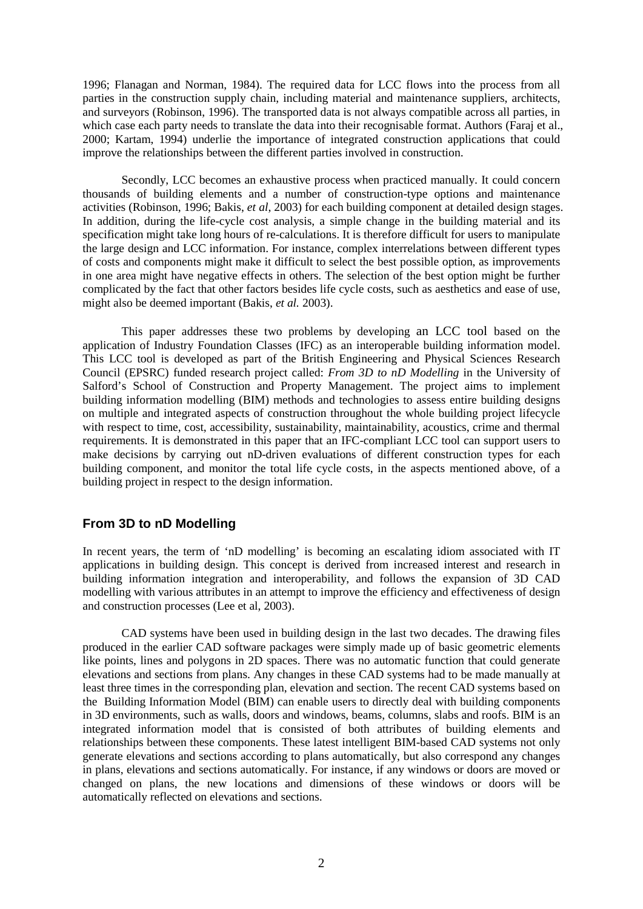1996; Flanagan and Norman, 1984). The required data for LCC flows into the process from all parties in the construction supply chain, including material and maintenance suppliers, architects, and surveyors (Robinson, 1996). The transported data is not always compatible across all parties, in which case each party needs to translate the data into their recognisable format. Authors (Faraj et al., 2000; Kartam, 1994) underlie the importance of integrated construction applications that could improve the relationships between the different parties involved in construction.

Secondly, LCC becomes an exhaustive process when practiced manually. It could concern thousands of building elements and a number of construction-type options and maintenance activities (Robinson, 1996; Bakis, *et al*, 2003) for each building component at detailed design stages. In addition, during the life-cycle cost analysis, a simple change in the building material and its specification might take long hours of re-calculations. It is therefore difficult for users to manipulate the large design and LCC information. For instance, complex interrelations between different types of costs and components might make it difficult to select the best possible option, as improvements in one area might have negative effects in others. The selection of the best option might be further complicated by the fact that other factors besides life cycle costs, such as aesthetics and ease of use, might also be deemed important (Bakis, *et al.* 2003).

This paper addresses these two problems by developing an LCC tool based on the application of Industry Foundation Classes (IFC) as an interoperable building information model. This LCC tool is developed as part of the British Engineering and Physical Sciences Research Council (EPSRC) funded research project called: *From 3D to nD Modelling* in the University of Salford's School of Construction and Property Management. The project aims to implement building information modelling (BIM) methods and technologies to assess entire building designs on multiple and integrated aspects of construction throughout the whole building project lifecycle with respect to time, cost, accessibility, sustainability, maintainability, acoustics, crime and thermal requirements. It is demonstrated in this paper that an IFC-compliant LCC tool can support users to make decisions by carrying out nD-driven evaluations of different construction types for each building component, and monitor the total life cycle costs, in the aspects mentioned above, of a building project in respect to the design information.

# **From 3D to nD Modelling**

In recent years, the term of 'nD modelling' is becoming an escalating idiom associated with IT applications in building design. This concept is derived from increased interest and research in building information integration and interoperability, and follows the expansion of 3D CAD modelling with various attributes in an attempt to improve the efficiency and effectiveness of design and construction processes (Lee et al, 2003).

CAD systems have been used in building design in the last two decades. The drawing files produced in the earlier CAD software packages were simply made up of basic geometric elements like points, lines and polygons in 2D spaces. There was no automatic function that could generate elevations and sections from plans. Any changes in these CAD systems had to be made manually at least three times in the corresponding plan, elevation and section. The recent CAD systems based on the Building Information Model (BIM) can enable users to directly deal with building components in 3D environments, such as walls, doors and windows, beams, columns, slabs and roofs. BIM is an integrated information model that is consisted of both attributes of building elements and relationships between these components. These latest intelligent BIM-based CAD systems not only generate elevations and sections according to plans automatically, but also correspond any changes in plans, elevations and sections automatically. For instance, if any windows or doors are moved or changed on plans, the new locations and dimensions of these windows or doors will be automatically reflected on elevations and sections.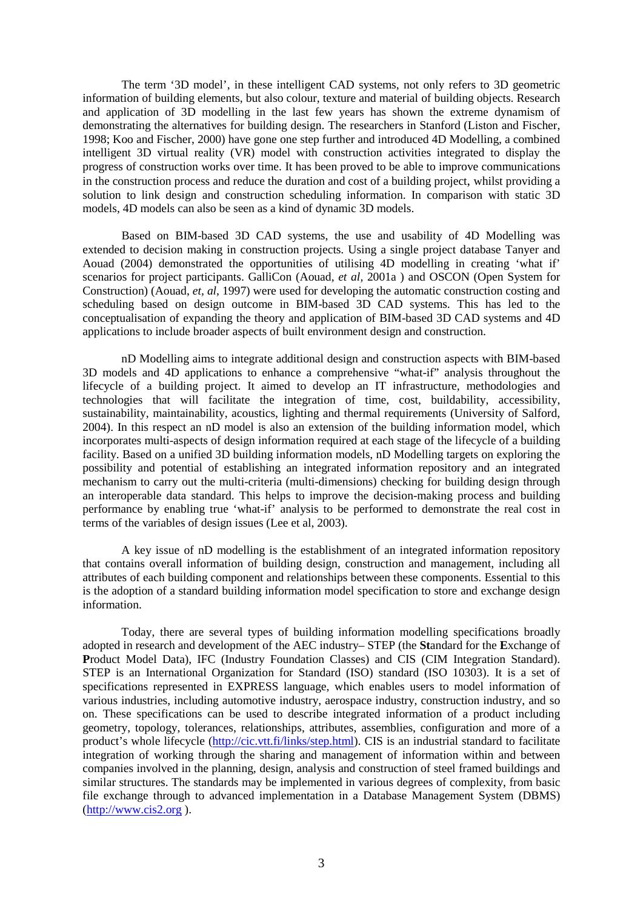The term '3D model', in these intelligent CAD systems, not only refers to 3D geometric information of building elements, but also colour, texture and material of building objects. Research and application of 3D modelling in the last few years has shown the extreme dynamism of demonstrating the alternatives for building design. The researchers in Stanford (Liston and Fischer, 1998; Koo and Fischer, 2000) have gone one step further and introduced 4D Modelling, a combined intelligent 3D virtual reality (VR) model with construction activities integrated to display the progress of construction works over time. It has been proved to be able to improve communications in the construction process and reduce the duration and cost of a building project, whilst providing a solution to link design and construction scheduling information. In comparison with static 3D models, 4D models can also be seen as a kind of dynamic 3D models.

Based on BIM-based 3D CAD systems, the use and usability of 4D Modelling was extended to decision making in construction projects. Using a single project database Tanyer and Aouad (2004) demonstrated the opportunities of utilising 4D modelling in creating 'what if' scenarios for project participants. GalliCon (Aouad, *et al,* 2001a ) and OSCON (Open System for Construction) (Aouad, *et, al*, 1997) were used for developing the automatic construction costing and scheduling based on design outcome in BIM-based 3D CAD systems. This has led to the conceptualisation of expanding the theory and application of BIM-based 3D CAD systems and 4D applications to include broader aspects of built environment design and construction.

nD Modelling aims to integrate additional design and construction aspects with BIM-based 3D models and 4D applications to enhance a comprehensive "what-if" analysis throughout the lifecycle of a building project. It aimed to develop an IT infrastructure, methodologies and technologies that will facilitate the integration of time, cost, buildability, accessibility, sustainability, maintainability, acoustics, lighting and thermal requirements (University of Salford, 2004). In this respect an nD model is also an extension of the building information model, which incorporates multi-aspects of design information required at each stage of the lifecycle of a building facility. Based on a unified 3D building information models, nD Modelling targets on exploring the possibility and potential of establishing an integrated information repository and an integrated mechanism to carry out the multi-criteria (multi-dimensions) checking for building design through an interoperable data standard. This helps to improve the decision-making process and building performance by enabling true 'what-if' analysis to be performed to demonstrate the real cost in terms of the variables of design issues (Lee et al, 2003).

A key issue of nD modelling is the establishment of an integrated information repository that contains overall information of building design, construction and management, including all attributes of each building component and relationships between these components. Essential to this is the adoption of a standard building information model specification to store and exchange design information.

Today, there are several types of building information modelling specifications broadly adopted in research and development of the AEC industry– STEP (the **St**andard for the **E**xchange of **P**roduct Model Data), IFC (Industry Foundation Classes) and CIS (CIM Integration Standard). STEP is an International Organization for Standard (ISO) standard (ISO 10303). It is a set of specifications represented in EXPRESS language, which enables users to model information of various industries, including automotive industry, aerospace industry, construction industry, and so on. These specifications can be used to describe integrated information of a product including geometry, topology, tolerances, relationships, attributes, assemblies, configuration and more of a product's whole lifecycle [\(http://cic.vtt.fi/links/step.html\)](http://cic.vtt.fi/links/step.html). CIS is an industrial standard to facilitate integration of working through the sharing and management of information within and between companies involved in the planning, design, analysis and construction of steel framed buildings and similar structures. The standards may be implemented in various degrees of complexity, from basic file exchange through to advanced implementation in a Database Management System (DBMS) [\(http://www.cis2.org](http://www.cis2.org/) ).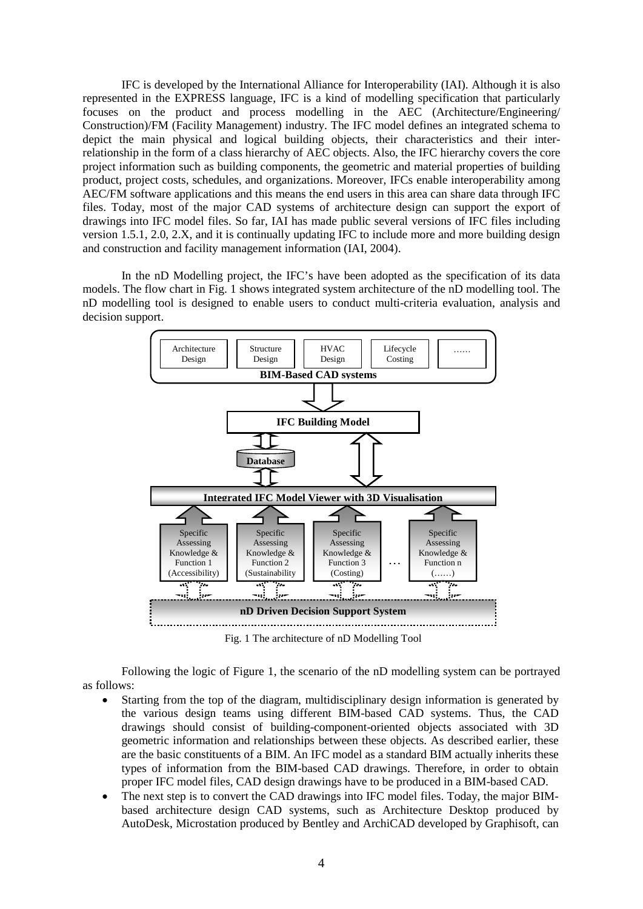IFC is developed by the International Alliance for Interoperability (IAI). Although it is also represented in the EXPRESS language, IFC is a kind of modelling specification that particularly focuses on the product and process modelling in the AEC (Architecture/Engineering/ Construction)/FM (Facility Management) industry. The IFC model defines an integrated schema to depict the main physical and logical building objects, their characteristics and their interrelationship in the form of a class hierarchy of AEC objects. Also, the IFC hierarchy covers the core project information such as building components, the geometric and material properties of building product, project costs, schedules, and organizations. Moreover, IFCs enable interoperability among AEC/FM software applications and this means the end users in this area can share data through IFC files. Today, most of the major CAD systems of architecture design can support the export of drawings into IFC model files. So far, IAI has made public several versions of IFC files including version 1.5.1, 2.0, 2.X, and it is continually updating IFC to include more and more building design and construction and facility management information (IAI, 2004).

In the nD Modelling project, the IFC's have been adopted as the specification of its data models. The flow chart in Fig. 1 shows integrated system architecture of the nD modelling tool. The nD modelling tool is designed to enable users to conduct multi-criteria evaluation, analysis and decision support.



Fig. 1 The architecture of nD Modelling Tool

Following the logic of Figure 1, the scenario of the nD modelling system can be portrayed as follows:

- Starting from the top of the diagram, multidisciplinary design information is generated by the various design teams using different BIM-based CAD systems. Thus, the CAD drawings should consist of building-component-oriented objects associated with 3D geometric information and relationships between these objects. As described earlier, these are the basic constituents of a BIM. An IFC model as a standard BIM actually inherits these types of information from the BIM-based CAD drawings. Therefore, in order to obtain proper IFC model files, CAD design drawings have to be produced in a BIM-based CAD.
- The next step is to convert the CAD drawings into IFC model files. Today, the major BIMbased architecture design CAD systems, such as Architecture Desktop produced by AutoDesk, Microstation produced by Bentley and ArchiCAD developed by Graphisoft, can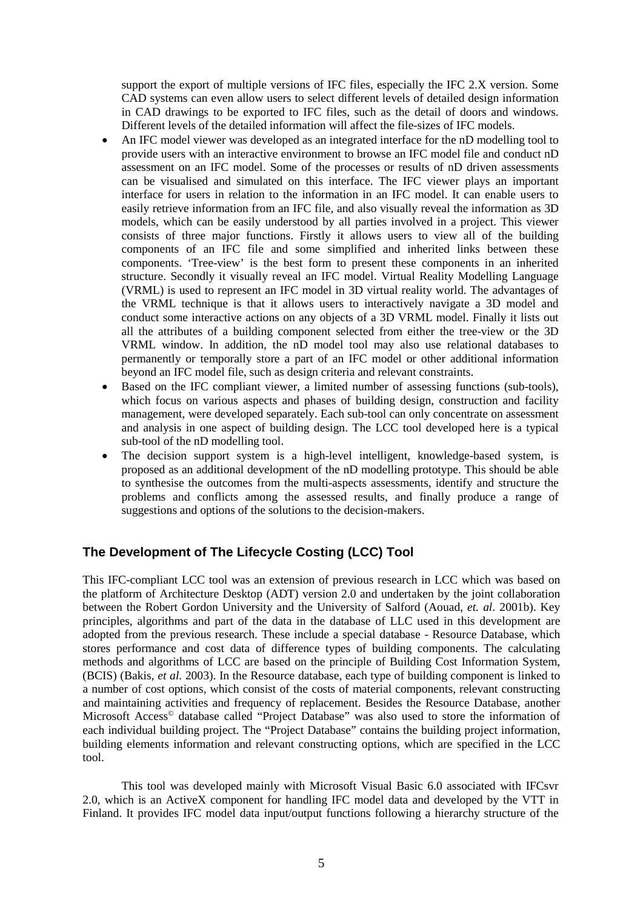support the export of multiple versions of IFC files, especially the IFC 2.X version. Some CAD systems can even allow users to select different levels of detailed design information in CAD drawings to be exported to IFC files, such as the detail of doors and windows. Different levels of the detailed information will affect the file-sizes of IFC models.

- An IFC model viewer was developed as an integrated interface for the nD modelling tool to provide users with an interactive environment to browse an IFC model file and conduct nD assessment on an IFC model. Some of the processes or results of nD driven assessments can be visualised and simulated on this interface. The IFC viewer plays an important interface for users in relation to the information in an IFC model. It can enable users to easily retrieve information from an IFC file, and also visually reveal the information as 3D models, which can be easily understood by all parties involved in a project. This viewer consists of three major functions. Firstly it allows users to view all of the building components of an IFC file and some simplified and inherited links between these components. 'Tree-view' is the best form to present these components in an inherited structure. Secondly it visually reveal an IFC model. Virtual Reality Modelling Language (VRML) is used to represent an IFC model in 3D virtual reality world. The advantages of the VRML technique is that it allows users to interactively navigate a 3D model and conduct some interactive actions on any objects of a 3D VRML model. Finally it lists out all the attributes of a building component selected from either the tree-view or the 3D VRML window. In addition, the nD model tool may also use relational databases to permanently or temporally store a part of an IFC model or other additional information beyond an IFC model file, such as design criteria and relevant constraints.
- Based on the IFC compliant viewer, a limited number of assessing functions (sub-tools), which focus on various aspects and phases of building design, construction and facility management, were developed separately. Each sub-tool can only concentrate on assessment and analysis in one aspect of building design. The LCC tool developed here is a typical sub-tool of the nD modelling tool.
- The decision support system is a high-level intelligent, knowledge-based system, is proposed as an additional development of the nD modelling prototype. This should be able to synthesise the outcomes from the multi-aspects assessments, identify and structure the problems and conflicts among the assessed results, and finally produce a range of suggestions and options of the solutions to the decision-makers.

# **The Development of The Lifecycle Costing (LCC) Tool**

This IFC-compliant LCC tool was an extension of previous research in LCC which was based on the platform of Architecture Desktop (ADT) version 2.0 and undertaken by the joint collaboration between the Robert Gordon University and the University of Salford (Aouad, *et. al*. 2001b). Key principles, algorithms and part of the data in the database of LLC used in this development are adopted from the previous research. These include a special database - Resource Database, which stores performance and cost data of difference types of building components. The calculating methods and algorithms of LCC are based on the principle of Building Cost Information System, (BCIS) (Bakis, *et al.* 2003). In the Resource database, each type of building component is linked to a number of cost options, which consist of the costs of material components, relevant constructing and maintaining activities and frequency of replacement. Besides the Resource Database, another Microsoft Access© database called "Project Database" was also used to store the information of each individual building project. The "Project Database" contains the building project information, building elements information and relevant constructing options, which are specified in the LCC tool.

This tool was developed mainly with Microsoft Visual Basic 6.0 associated with IFCsvr 2.0, which is an ActiveX component for handling IFC model data and developed by the VTT in Finland. It provides IFC model data input/output functions following a hierarchy structure of the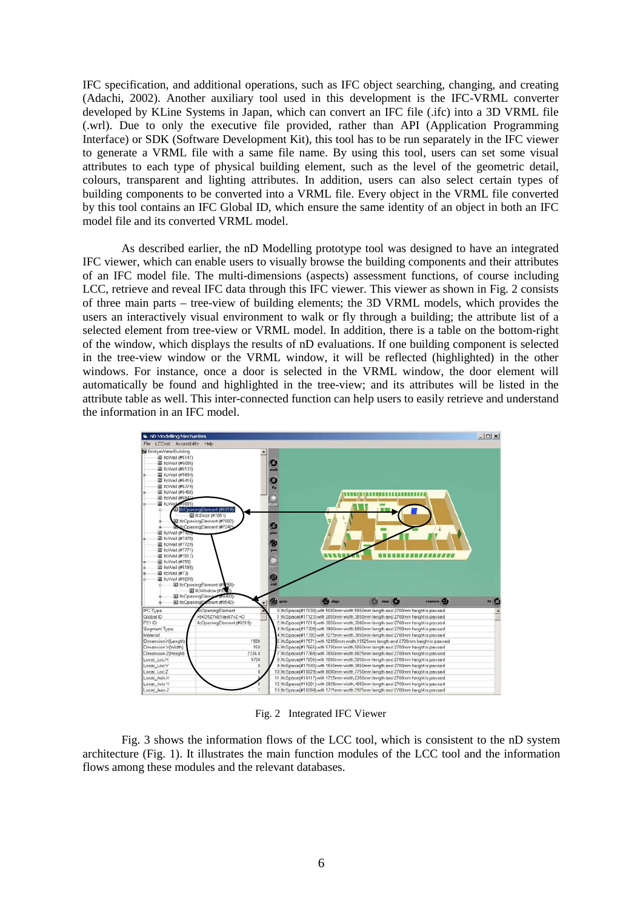IFC specification, and additional operations, such as IFC object searching, changing, and creating (Adachi, 2002). Another auxiliary tool used in this development is the IFC-VRML converter developed by KLine Systems in Japan, which can convert an IFC file (.ifc) into a 3D VRML file (.wrl). Due to only the executive file provided, rather than API (Application Programming Interface) or SDK (Software Development Kit), this tool has to be run separately in the IFC viewer to generate a VRML file with a same file name. By using this tool, users can set some visual attributes to each type of physical building element, such as the level of the geometric detail, colours, transparent and lighting attributes. In addition, users can also select certain types of building components to be converted into a VRML file. Every object in the VRML file converted by this tool contains an IFC Global ID, which ensure the same identity of an object in both an IFC model file and its converted VRML model.

As described earlier, the nD Modelling prototype tool was designed to have an integrated IFC viewer, which can enable users to visually browse the building components and their attributes of an IFC model file. The multi-dimensions (aspects) assessment functions, of course including LCC, retrieve and reveal IFC data through this IFC viewer. This viewer as shown in Fig. 2 consists of three main parts – tree-view of building elements; the 3D VRML models, which provides the users an interactively visual environment to walk or fly through a building; the attribute list of a selected element from tree-view or VRML model. In addition, there is a table on the bottom-right of the window, which displays the results of nD evaluations. If one building component is selected in the tree-view window or the VRML window, it will be reflected (highlighted) in the other windows. For instance, once a door is selected in the VRML window, the door element will automatically be found and highlighted in the tree-view; and its attributes will be listed in the attribute table as well. This inter-connected function can help users to easily retrieve and understand the information in an IFC model.



Fig. 2 Integrated IFC Viewer

Fig. 3 shows the information flows of the LCC tool, which is consistent to the nD system architecture (Fig. 1). It illustrates the main function modules of the LCC tool and the information flows among these modules and the relevant databases.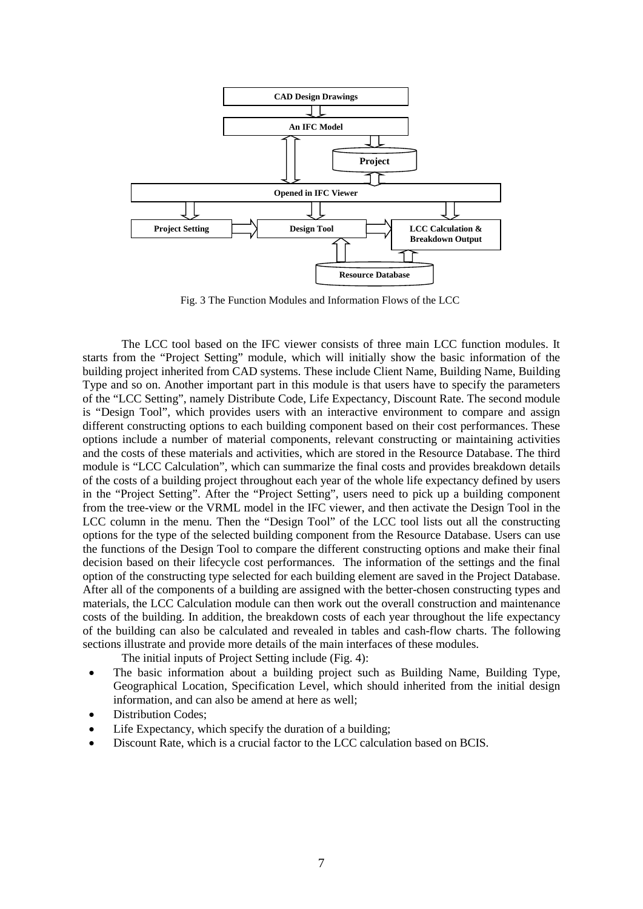

Fig. 3 The Function Modules and Information Flows of the LCC

The LCC tool based on the IFC viewer consists of three main LCC function modules. It starts from the "Project Setting" module, which will initially show the basic information of the building project inherited from CAD systems. These include Client Name, Building Name, Building Type and so on. Another important part in this module is that users have to specify the parameters of the "LCC Setting", namely Distribute Code, Life Expectancy, Discount Rate. The second module is "Design Tool", which provides users with an interactive environment to compare and assign different constructing options to each building component based on their cost performances. These options include a number of material components, relevant constructing or maintaining activities and the costs of these materials and activities, which are stored in the Resource Database. The third module is "LCC Calculation", which can summarize the final costs and provides breakdown details of the costs of a building project throughout each year of the whole life expectancy defined by users in the "Project Setting". After the "Project Setting", users need to pick up a building component from the tree-view or the VRML model in the IFC viewer, and then activate the Design Tool in the LCC column in the menu. Then the "Design Tool" of the LCC tool lists out all the constructing options for the type of the selected building component from the Resource Database. Users can use the functions of the Design Tool to compare the different constructing options and make their final decision based on their lifecycle cost performances. The information of the settings and the final option of the constructing type selected for each building element are saved in the Project Database. After all of the components of a building are assigned with the better-chosen constructing types and materials, the LCC Calculation module can then work out the overall construction and maintenance costs of the building. In addition, the breakdown costs of each year throughout the life expectancy of the building can also be calculated and revealed in tables and cash-flow charts. The following sections illustrate and provide more details of the main interfaces of these modules.

The initial inputs of Project Setting include (Fig. 4):

- The basic information about a building project such as Building Name, Building Type, Geographical Location, Specification Level, which should inherited from the initial design information, and can also be amend at here as well;
- Distribution Codes;
- Life Expectancy, which specify the duration of a building;
- Discount Rate, which is a crucial factor to the LCC calculation based on BCIS.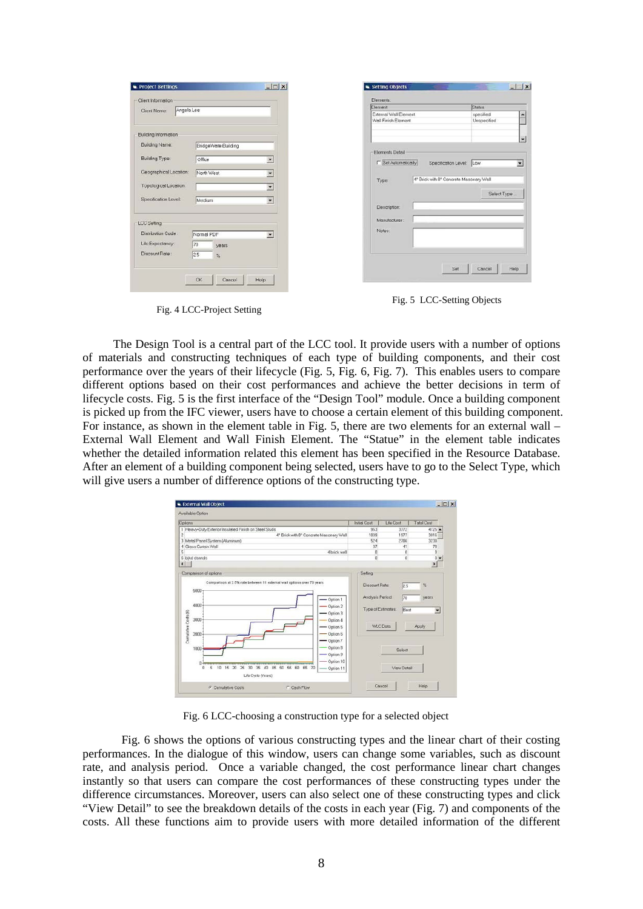| Angela Lee<br>Client Name: |                                        |                          | Element                                      | Status                                               |
|----------------------------|----------------------------------------|--------------------------|----------------------------------------------|------------------------------------------------------|
|                            |                                        |                          | External Wall Element<br>Wall Finish Element | specified<br>$\overline{\phantom{a}}$<br>Unspecified |
| Building Information       |                                        |                          |                                              |                                                      |
| <b>Building Name:</b>      | BridgeWaterBuilding<br>Elements Detail |                          | Ξ                                            |                                                      |
| <b>Building Type:</b>      | Office                                 | $\overline{ }$           | <b>F</b> Set Automatically                   | Specification Level: Low<br>$\overline{\phantom{a}}$ |
| Geographical Location:     | North West                             | $\overline{z}$           | Type:                                        | 4" Brick with 8" Concrete Masonary Wall              |
| Topological Location.      |                                        | $\overline{\phantom{a}}$ |                                              | Select Type                                          |
| Specification Level:       | Medium                                 | $\overline{z}$           | Description:                                 |                                                      |
| <b>LCC Setting</b>         |                                        |                          | Manufacturer                                 |                                                      |
| Distribution Code:         | Normal PDF                             | $\overline{\phantom{a}}$ | Notes:                                       |                                                      |
| Life Expectancy            | 70<br>years                            |                          |                                              |                                                      |
| Discount Rate:             | 2.5<br>$\%$                            |                          |                                              |                                                      |

Fig. 4 LCC-Project Setting

The Design Tool is a central part of the LCC tool. It provide users with a number of options of materials and constructing techniques of each type of building components, and their cost performance over the years of their lifecycle (Fig. 5, Fig. 6, Fig. 7). This enables users to compare different options based on their cost performances and achieve the better decisions in term of lifecycle costs. Fig. 5 is the first interface of the "Design Tool" module. Once a building component is picked up from the IFC viewer, users have to choose a certain element of this building component. For instance, as shown in the element table in Fig. 5, there are two elements for an external wall – External Wall Element and Wall Finish Element. The "Statue" in the element table indicates whether the detailed information related this element has been specified in the Resource Database. After an element of a building component being selected, users have to go to the Select Type, which will give users a number of difference options of the constructing type.



Fig. 6 LCC-choosing a construction type for a selected object

Fig. 6 shows the options of various constructing types and the linear chart of their costing performances. In the dialogue of this window, users can change some variables, such as discount rate, and analysis period. Once a variable changed, the cost performance linear chart changes instantly so that users can compare the cost performances of these constructing types under the difference circumstances. Moreover, users can also select one of these constructing types and click "View Detail" to see the breakdown details of the costs in each year (Fig. 7) and components of the costs. All these functions aim to provide users with more detailed information of the different

Fig. 5 LCC-Setting Objects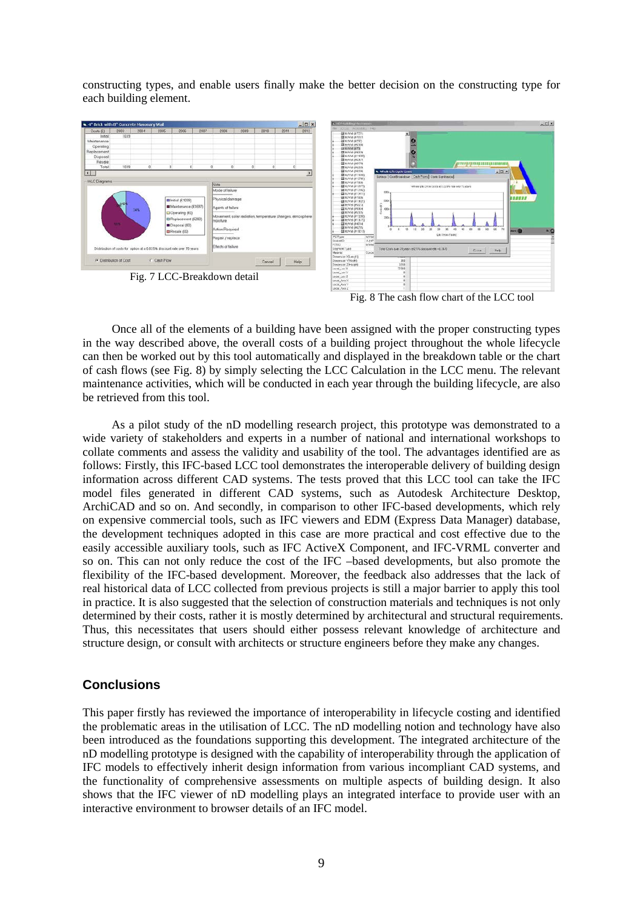constructing types, and enable users finally make the better decision on the constructing type for each building element.



Fig. 8 The cash flow chart of the LCC tool

Once all of the elements of a building have been assigned with the proper constructing types in the way described above, the overall costs of a building project throughout the whole lifecycle can then be worked out by this tool automatically and displayed in the breakdown table or the chart of cash flows (see Fig. 8) by simply selecting the LCC Calculation in the LCC menu. The relevant maintenance activities, which will be conducted in each year through the building lifecycle, are also be retrieved from this tool.

As a pilot study of the nD modelling research project, this prototype was demonstrated to a wide variety of stakeholders and experts in a number of national and international workshops to collate comments and assess the validity and usability of the tool. The advantages identified are as follows: Firstly, this IFC-based LCC tool demonstrates the interoperable delivery of building design information across different CAD systems. The tests proved that this LCC tool can take the IFC model files generated in different CAD systems, such as Autodesk Architecture Desktop, ArchiCAD and so on. And secondly, in comparison to other IFC-based developments, which rely on expensive commercial tools, such as IFC viewers and EDM (Express Data Manager) database, the development techniques adopted in this case are more practical and cost effective due to the easily accessible auxiliary tools, such as IFC ActiveX Component, and IFC-VRML converter and so on. This can not only reduce the cost of the IFC –based developments, but also promote the flexibility of the IFC-based development. Moreover, the feedback also addresses that the lack of real historical data of LCC collected from previous projects is still a major barrier to apply this tool in practice. It is also suggested that the selection of construction materials and techniques is not only determined by their costs, rather it is mostly determined by architectural and structural requirements. Thus, this necessitates that users should either possess relevant knowledge of architecture and structure design, or consult with architects or structure engineers before they make any changes.

#### **Conclusions**

This paper firstly has reviewed the importance of interoperability in lifecycle costing and identified the problematic areas in the utilisation of LCC. The nD modelling notion and technology have also been introduced as the foundations supporting this development. The integrated architecture of the nD modelling prototype is designed with the capability of interoperability through the application of IFC models to effectively inherit design information from various incompliant CAD systems, and the functionality of comprehensive assessments on multiple aspects of building design. It also shows that the IFC viewer of nD modelling plays an integrated interface to provide user with an interactive environment to browser details of an IFC model.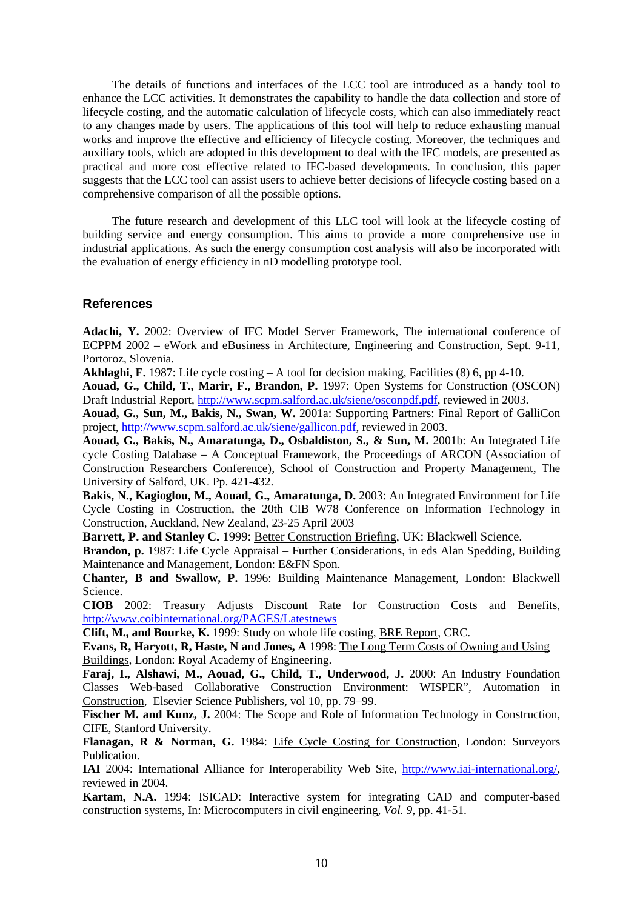The details of functions and interfaces of the LCC tool are introduced as a handy tool to enhance the LCC activities. It demonstrates the capability to handle the data collection and store of lifecycle costing, and the automatic calculation of lifecycle costs, which can also immediately react to any changes made by users. The applications of this tool will help to reduce exhausting manual works and improve the effective and efficiency of lifecycle costing. Moreover, the techniques and auxiliary tools, which are adopted in this development to deal with the IFC models, are presented as practical and more cost effective related to IFC-based developments. In conclusion, this paper suggests that the LCC tool can assist users to achieve better decisions of lifecycle costing based on a comprehensive comparison of all the possible options.

The future research and development of this LLC tool will look at the lifecycle costing of building service and energy consumption. This aims to provide a more comprehensive use in industrial applications. As such the energy consumption cost analysis will also be incorporated with the evaluation of energy efficiency in nD modelling prototype tool.

#### **References**

**Adachi, Y.** 2002: Overview of IFC Model Server Framework, The international conference of ECPPM 2002 – eWork and eBusiness in Architecture, Engineering and Construction, Sept. 9-11, Portoroz, Slovenia.

**Akhlaghi, F.** 1987: Life cycle costing  $-A$  tool for decision making, Facilities (8) 6, pp 4-10.

**Aouad, G., Child, T., Marir, F., Brandon, P.** 1997: Open Systems for Construction (OSCON) Draft Industrial Report, [http://www.scpm.salford.ac.uk/siene/osconpdf.pdf,](http://www.scpm.salford.ac.uk/siene/osconpdf.pdf) reviewed in 2003.

**Aouad, G., Sun, M., Bakis, N., Swan, W.** 2001a: Supporting Partners: Final Report of GalliCon project, [http://www.scpm.salford.ac.uk/siene/gallicon.pdf,](http://www.scpm.salford.ac.uk/siene/gallicon.pdf) reviewed in 2003.

**Aouad, G., Bakis, N., Amaratunga, D., Osbaldiston, S., & Sun, M.** 2001b: An Integrated Life cycle Costing Database – A Conceptual Framework, the Proceedings of ARCON (Association of Construction Researchers Conference), School of Construction and Property Management, The University of Salford, UK. Pp. 421-432.

**Bakis, N., Kagioglou, M., Aouad, G., Amaratunga, D.** 2003: An Integrated Environment for Life Cycle Costing in Costruction, the 20th CIB W78 Conference on Information Technology in Construction, Auckland, New Zealand, 23-25 April 2003

**Barrett, P. and Stanley C.** 1999: Better Construction Briefing, UK: Blackwell Science.

**Brandon, p.** 1987: Life Cycle Appraisal – Further Considerations, in eds Alan Spedding, Building Maintenance and Management, London: E&FN Spon.

**Chanter, B and Swallow, P.** 1996: Building Maintenance Management, London: Blackwell Science.

**CIOB** 2002: Treasury Adjusts Discount Rate for Construction Costs and Benefits, <http://www.coibinternational.org/PAGES/Latestnews>

**Clift, M., and Bourke, K.** 1999: Study on whole life costing, BRE Report, CRC.

**Evans, R, Haryott, R, Haste, N and Jones, A** 1998: The Long Term Costs of Owning and Using Buildings*,* London: Royal Academy of Engineering.

**Faraj, I., Alshawi, M., Aouad, G., Child, T., Underwood, J.** 2000: An Industry Foundation Classes Web-based Collaborative Construction Environment: WISPER", Automation in Construction, Elsevier Science Publishers, vol 10, pp. 79–99.

**Fischer M. and Kunz, J.** 2004: The Scope and Role of Information Technology in Construction, CIFE, Stanford University.

**Flanagan, R & Norman, G.** 1984: Life Cycle Costing for Construction, London: Surveyors Publication.

**IAI** 2004: International Alliance for Interoperability Web Site, [http://www.iai-international.org/,](http://www.iai-international.org/) reviewed in 2004.

**Kartam, N.A.** 1994: ISICAD: Interactive system for integrating CAD and computer-based construction systems, In: Microcomputers in civil engineering*, Vol. 9,* pp. 41-51.